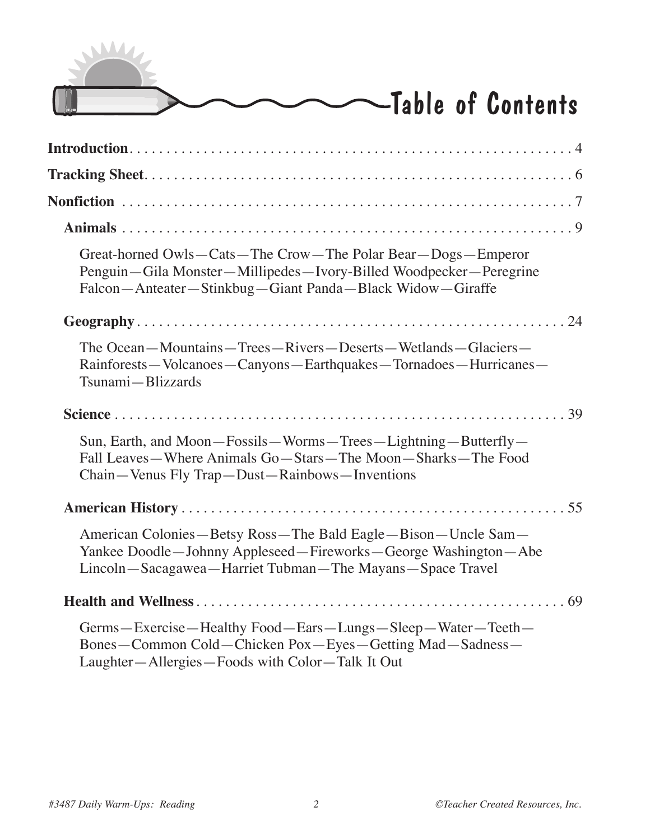

| Great-horned Owls-Cats-The Crow-The Polar Bear-Dogs-Emperor<br>Penguin—Gila Monster—Millipedes—Ivory-Billed Woodpecker—Peregrine<br>Falcon—Anteater—Stinkbug—Giant Panda—Black Widow—Giraffe |
|----------------------------------------------------------------------------------------------------------------------------------------------------------------------------------------------|
|                                                                                                                                                                                              |
| The Ocean-Mountains-Trees-Rivers-Deserts-Wetlands-Glaciers-<br>Rainforests—Volcanoes—Canyons—Earthquakes—Tornadoes—Hurricanes—<br>Tsunami-Blizzards                                          |
|                                                                                                                                                                                              |
| Sun, Earth, and Moon—Fossils—Worms—Trees—Lightning—Butterfly—<br>Fall Leaves—Where Animals Go—Stars—The Moon—Sharks—The Food<br>Chain—Venus Fly Trap—Dust—Rainbows—Inventions                |
|                                                                                                                                                                                              |
| American Colonies—Betsy Ross—The Bald Eagle—Bison—Uncle Sam—<br>Yankee Doodle—Johnny Appleseed—Fireworks—George Washington—Abe<br>Lincoln—Sacagawea—Harriet Tubman—The Mayans—Space Travel   |
|                                                                                                                                                                                              |
| Germs-Exercise-Healthy Food-Ears-Lungs-Sleep-Water-Teeth-<br>Bones-Common Cold-Chicken Pox-Eyes-Getting Mad-Sadness-<br>Laughter-Allergies-Foods with Color-Talk It Out                      |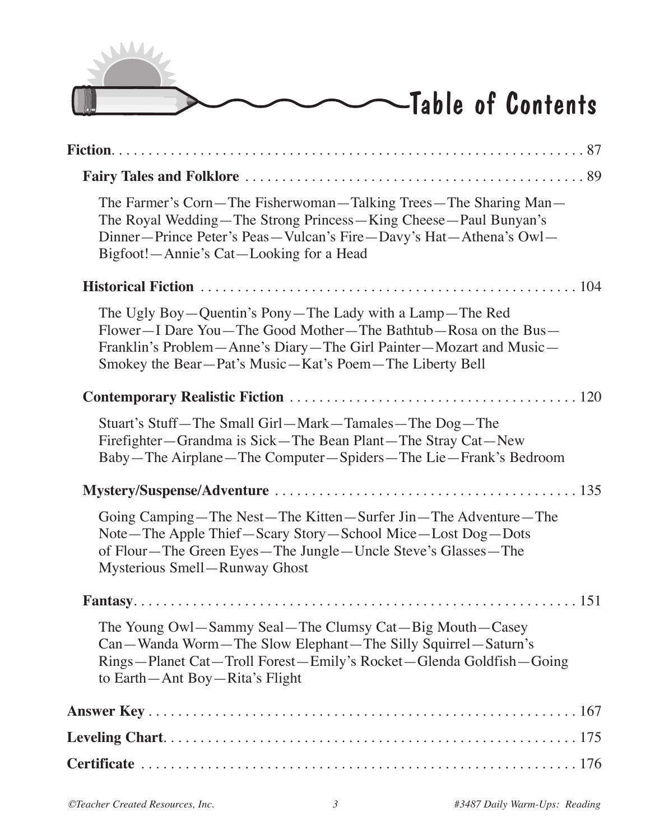

| The Farmer's Corn—The Fisherwoman—Talking Trees—The Sharing Man—<br>The Royal Wedding—The Strong Princess—King Cheese—Paul Bunyan's<br>Dinner-Prince Peter's Peas-Vulcan's Fire-Davy's Hat-Athena's Owl-<br>Bigfoot!—Annie's Cat—Looking for a Head         |
|-------------------------------------------------------------------------------------------------------------------------------------------------------------------------------------------------------------------------------------------------------------|
|                                                                                                                                                                                                                                                             |
| The Ugly Boy—Quentin's Pony—The Lady with a Lamp—The Red<br>Flower—I Dare You—The Good Mother—The Bathtub—Rosa on the Bus—<br>Franklin's Problem—Anne's Diary—The Girl Painter—Mozart and Music—<br>Smokey the Bear—Pat's Music—Kat's Poem—The Liberty Bell |
|                                                                                                                                                                                                                                                             |
| Stuart's Stuff—The Small Girl—Mark—Tamales—The Dog—The<br>Firefighter—Grandma is Sick—The Bean Plant—The Stray Cat—New<br>Baby—The Airplane—The Computer—Spiders—The Lie—Frank's Bedroom                                                                    |
|                                                                                                                                                                                                                                                             |
| Going Camping—The Nest—The Kitten—Surfer Jin—The Adventure—The<br>Note—The Apple Thief—Scary Story—School Mice—Lost Dog—Dots<br>of Flour-The Green Eyes-The Jungle-Uncle Steve's Glasses-The<br><b>Mysterious Smell-Runway Ghost</b>                        |
|                                                                                                                                                                                                                                                             |
| The Young Owl—Sammy Seal—The Clumsy Cat—Big Mouth—Casey<br>Can—Wanda Worm—The Slow Elephant—The Silly Squirrel—Saturn's<br>Rings-Planet Cat-Troll Forest-Emily's Rocket-Glenda Goldfish-Going<br>to Earth—Ant Boy—Rita's Flight                             |
|                                                                                                                                                                                                                                                             |
|                                                                                                                                                                                                                                                             |
|                                                                                                                                                                                                                                                             |
|                                                                                                                                                                                                                                                             |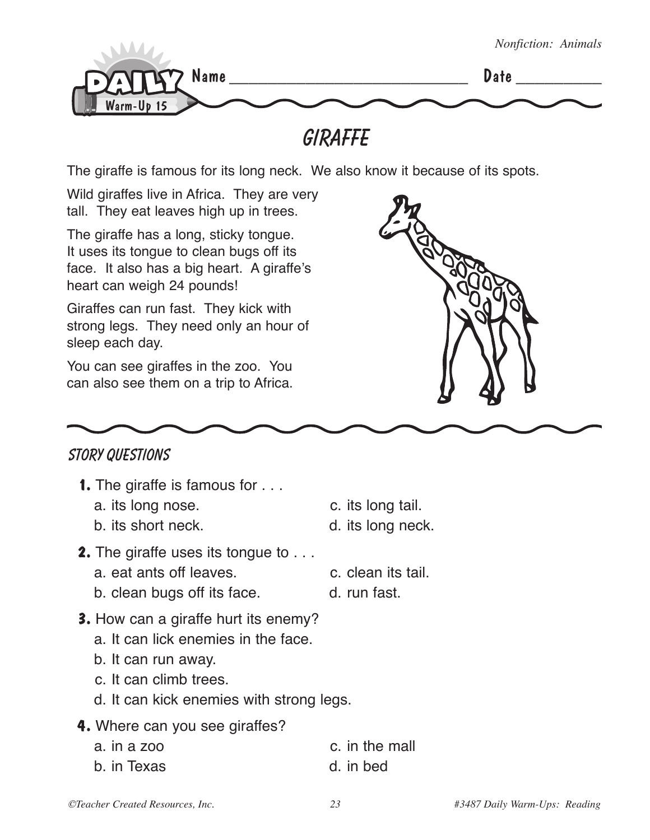

**Giraffe**

The giraffe is famous for its long neck. We also know it because of its spots.

Wild giraffes live in Africa. They are very tall. They eat leaves high up in trees.

The giraffe has a long, sticky tongue. It uses its tongue to clean bugs off its face. It also has a big heart. A giraffe's heart can weigh 24 pounds!

Giraffes can run fast. They kick with strong legs. They need only an hour of sleep each day.

You can see giraffes in the zoo. You can also see them on a trip to Africa.



## **STORY QUESTIONS**

- **1.** The giraffe is famous for . . .
	- a. its long nose.  $\qquad \qquad \text{c. its long tail.}$
	- b. its short neck. b. its long neck.
- **2.** The giraffe uses its tongue to . . .
	- a. eat ants off leaves. The c. clean its tail.
	- b. clean bugs off its face. d. run fast.
- **3.** How can a giraffe hurt its enemy?
	- a. It can lick enemies in the face.
	- b. It can run away.
	- c. It can climb trees.
	- d. It can kick enemies with strong legs.
- **4.** Where can you see giraffes?

| a. <i>in a zoo</i> |  | c. in the mall |
|--------------------|--|----------------|
| b. in Texas        |  | d. in bed      |

- 
- 
-